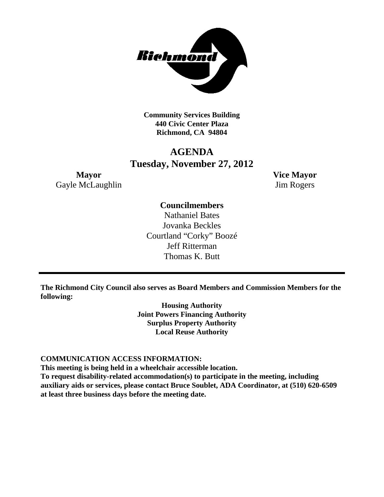

**Community Services Building 440 Civic Center Plaza Richmond, CA 94804**

# **AGENDA Tuesday, November 27, 2012**

**Mayor Vice Mayor** Gayle McLaughlin Jim Rogers

# **Councilmembers**

Nathaniel Bates Jovanka Beckles Courtland "Corky" Boozé Jeff Ritterman Thomas K. Butt

**The Richmond City Council also serves as Board Members and Commission Members for the following:**

> **Housing Authority Joint Powers Financing Authority Surplus Property Authority Local Reuse Authority**

### **COMMUNICATION ACCESS INFORMATION:**

**This meeting is being held in a wheelchair accessible location.**

**To request disability-related accommodation(s) to participate in the meeting, including auxiliary aids or services, please contact Bruce Soublet, ADA Coordinator, at (510) 620-6509 at least three business days before the meeting date.**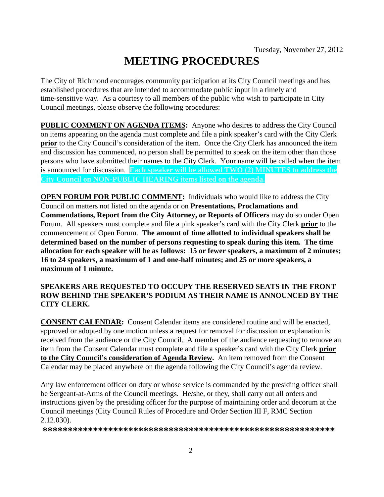# **MEETING PROCEDURES**

The City of Richmond encourages community participation at its City Council meetings and has established procedures that are intended to accommodate public input in a timely and time-sensitive way. As a courtesy to all members of the public who wish to participate in City Council meetings, please observe the following procedures:

**PUBLIC COMMENT ON AGENDA ITEMS:** Anyone who desires to address the City Council on items appearing on the agenda must complete and file a pink speaker's card with the City Clerk **prior** to the City Council's consideration of the item. Once the City Clerk has announced the item and discussion has commenced, no person shall be permitted to speak on the item other than those persons who have submitted their names to the City Clerk. Your name will be called when the item is announced for discussion. **Each speaker will be allowed TWO (2) MINUTES to address the City Council on NON-PUBLIC HEARING items listed on the agenda.**

**OPEN FORUM FOR PUBLIC COMMENT:** Individuals who would like to address the City Council on matters not listed on the agenda or on **Presentations, Proclamations and Commendations, Report from the City Attorney, or Reports of Officers** may do so under Open Forum. All speakers must complete and file a pink speaker's card with the City Clerk **prior** to the commencement of Open Forum. **The amount of time allotted to individual speakers shall be determined based on the number of persons requesting to speak during this item. The time allocation for each speaker will be as follows: 15 or fewer speakers, a maximum of 2 minutes; 16 to 24 speakers, a maximum of 1 and one-half minutes; and 25 or more speakers, a maximum of 1 minute.**

### **SPEAKERS ARE REQUESTED TO OCCUPY THE RESERVED SEATS IN THE FRONT ROW BEHIND THE SPEAKER'S PODIUM AS THEIR NAME IS ANNOUNCED BY THE CITY CLERK.**

**CONSENT CALENDAR:** Consent Calendar items are considered routine and will be enacted, approved or adopted by one motion unless a request for removal for discussion or explanation is received from the audience or the City Council. A member of the audience requesting to remove an item from the Consent Calendar must complete and file a speaker's card with the City Clerk **prior to the City Council's consideration of Agenda Review.** An item removed from the Consent Calendar may be placed anywhere on the agenda following the City Council's agenda review.

Any law enforcement officer on duty or whose service is commanded by the presiding officer shall be Sergeant-at-Arms of the Council meetings. He/she, or they, shall carry out all orders and instructions given by the presiding officer for the purpose of maintaining order and decorum at the Council meetings (City Council Rules of Procedure and Order Section III F, RMC Section 2.12.030).

**\*\*\*\*\*\*\*\*\*\*\*\*\*\*\*\*\*\*\*\*\*\*\*\*\*\*\*\*\*\*\*\*\*\*\*\*\*\*\*\*\*\*\*\*\*\*\*\*\*\*\*\*\*\*\*\*\*\***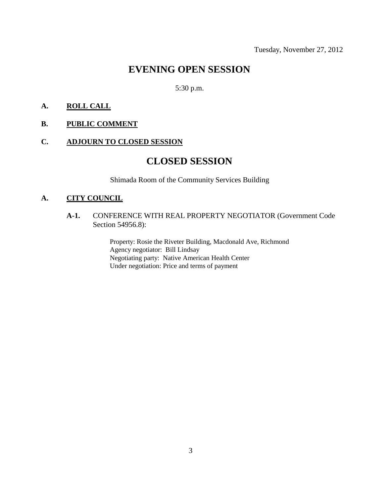# **EVENING OPEN SESSION**

## 5:30 p.m.

### **A. ROLL CALL**

**B. PUBLIC COMMENT**

#### **C. ADJOURN TO CLOSED SESSION**

# **CLOSED SESSION**

Shimada Room of the Community Services Building

### **A. CITY COUNCIL**

**A-1.** CONFERENCE WITH REAL PROPERTY NEGOTIATOR (Government Code Section 54956.8):

> Property: Rosie the Riveter Building, Macdonald Ave, Richmond Agency negotiator: Bill Lindsay Negotiating party: Native American Health Center Under negotiation: Price and terms of payment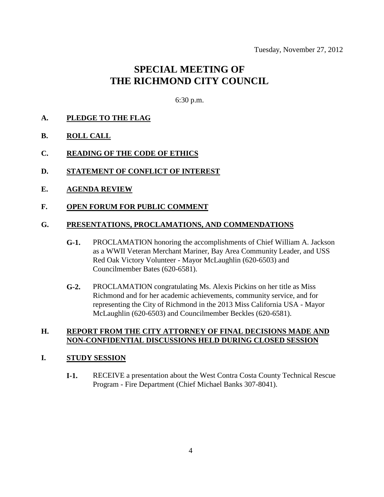# **SPECIAL MEETING OF THE RICHMOND CITY COUNCIL**

6:30 p.m.

#### **A. PLEDGE TO THE FLAG**

- **B. ROLL CALL**
- **C. READING OF THE CODE OF ETHICS**
- **D. STATEMENT OF CONFLICT OF INTEREST**
- **E. AGENDA REVIEW**

#### **F. OPEN FORUM FOR PUBLIC COMMENT**

#### **G. PRESENTATIONS, PROCLAMATIONS, AND COMMENDATIONS**

- **G-1.** PROCLAMATION honoring the accomplishments of Chief William A. Jackson as a WWII Veteran Merchant Mariner, Bay Area Community Leader, and USS Red Oak Victory Volunteer - Mayor McLaughlin (620-6503) and Councilmember Bates (620-6581).
- **G-2.** PROCLAMATION congratulating Ms. Alexis Pickins on her title as Miss Richmond and for her academic achievements, community service, and for representing the City of Richmond in the 2013 Miss California USA - Mayor McLaughlin (620-6503) and Councilmember Beckles (620-6581).

### **H. REPORT FROM THE CITY ATTORNEY OF FINAL DECISIONS MADE AND NON-CONFIDENTIAL DISCUSSIONS HELD DURING CLOSED SESSION**

#### **I. STUDY SESSION**

**I-1.** RECEIVE a presentation about the West Contra Costa County Technical Rescue Program - Fire Department (Chief Michael Banks 307-8041).